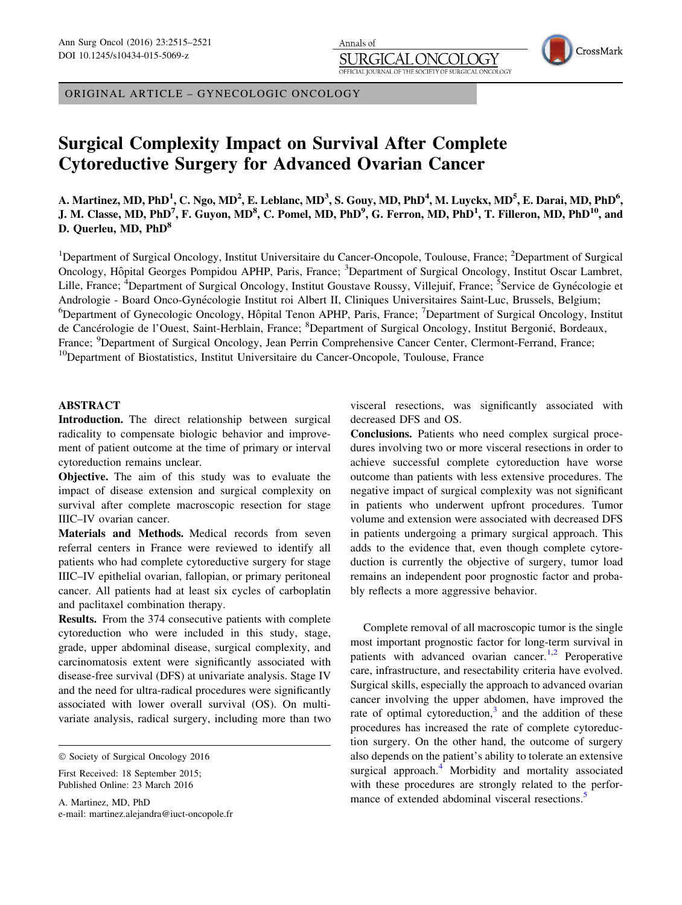ORIGINAL ARTICLE – GYNECOLOGIC ONCOLOGY

# Surgical Complexity Impact on Survival After Complete Cytoreductive Surgery for Advanced Ovarian Cancer

A. Martinez, MD, PhD<sup>1</sup>, C. Ngo, MD<sup>2</sup>, E. Leblanc, MD<sup>3</sup>, S. Gouy, MD, PhD<sup>4</sup>, M. Luyckx, MD<sup>5</sup>, E. Darai, MD, PhD<sup>6</sup>, J. M. Classe, MD, PhD<sup>7</sup>, F. Guyon, MD $^8$ , C. Pomel, MD, PhD $^9$ , G. Ferron, MD, PhD $^1$ , T. Filleron, MD, PhD $^{10}$ , and D. Querleu, MD, PhD<sup>8</sup>

Annals of

**JRGI** 

OFFICIAL IOURNAL

<sup>1</sup>Department of Surgical Oncology, Institut Universitaire du Cancer-Oncopole, Toulouse, France; <sup>2</sup>Department of Surgical Oncology, Hôpital Georges Pompidou APHP, Paris, France; <sup>3</sup>Department of Surgical Oncology, Institut Oscar Lambret, Lille, France; <sup>4</sup>Department of Surgical Oncology, Institut Goustave Roussy, Villejuif, France; <sup>5</sup>Service de Gynécologie et Andrologie - Board Onco-Gynécologie Institut roi Albert II, Cliniques Universitaires Saint-Luc, Brussels, Belgium; <sup>6</sup>Department of Gynecologic Oncology, Hôpital Tenon APHP, Paris, France; <sup>7</sup>Department of Surgical Oncology, Institut de Cancérologie de l'Ouest, Saint-Herblain, France; 8Department of Surgical Oncology, Institut Bergonié, Bordeaux, France; <sup>9</sup>Department of Surgical Oncology, Jean Perrin Comprehensive Cancer Center, Clermont-Ferrand, France; <sup>10</sup>Department of Biostatistics, Institut Universitaire du Cancer-Oncopole, Toulouse, France

### ABSTRACT

Introduction. The direct relationship between surgical radicality to compensate biologic behavior and improvement of patient outcome at the time of primary or interval cytoreduction remains unclear.

Objective. The aim of this study was to evaluate the impact of disease extension and surgical complexity on survival after complete macroscopic resection for stage IIIC–IV ovarian cancer.

Materials and Methods. Medical records from seven referral centers in France were reviewed to identify all patients who had complete cytoreductive surgery for stage IIIC–IV epithelial ovarian, fallopian, or primary peritoneal cancer. All patients had at least six cycles of carboplatin and paclitaxel combination therapy.

Results. From the 374 consecutive patients with complete cytoreduction who were included in this study, stage, grade, upper abdominal disease, surgical complexity, and carcinomatosis extent were significantly associated with disease-free survival (DFS) at univariate analysis. Stage IV and the need for ultra-radical procedures were significantly associated with lower overall survival (OS). On multivariate analysis, radical surgery, including more than two

A. Martinez, MD, PhD e-mail: martinez.alejandra@iuct-oncopole.fr visceral resections, was significantly associated with decreased DFS and OS.

OGY

SURGICAL ONCOLOGY

Conclusions. Patients who need complex surgical procedures involving two or more visceral resections in order to achieve successful complete cytoreduction have worse outcome than patients with less extensive procedures. The negative impact of surgical complexity was not significant in patients who underwent upfront procedures. Tumor volume and extension were associated with decreased DFS in patients undergoing a primary surgical approach. This adds to the evidence that, even though complete cytoreduction is currently the objective of surgery, tumor load remains an independent poor prognostic factor and probably reflects a more aggressive behavior.

Complete removal of all macroscopic tumor is the single most important prognostic factor for long-term survival in patients with advanced ovarian cancer.<sup>[1,2](#page-6-0)</sup> Peroperative care, infrastructure, and resectability criteria have evolved. Surgical skills, especially the approach to advanced ovarian cancer involving the upper abdomen, have improved the rate of optimal cytoreduction, $3$  and the addition of these procedures has increased the rate of complete cytoreduction surgery. On the other hand, the outcome of surgery also depends on the patient's ability to tolerate an extensive surgical approach.<sup>[4](#page-6-0)</sup> Morbidity and mortality associated with these procedures are strongly related to the perfor-mance of extended abdominal visceral resections.<sup>[5](#page-6-0)</sup>

 $©$  Society of Surgical Oncology 2016

First Received: 18 September 2015; Published Online: 23 March 2016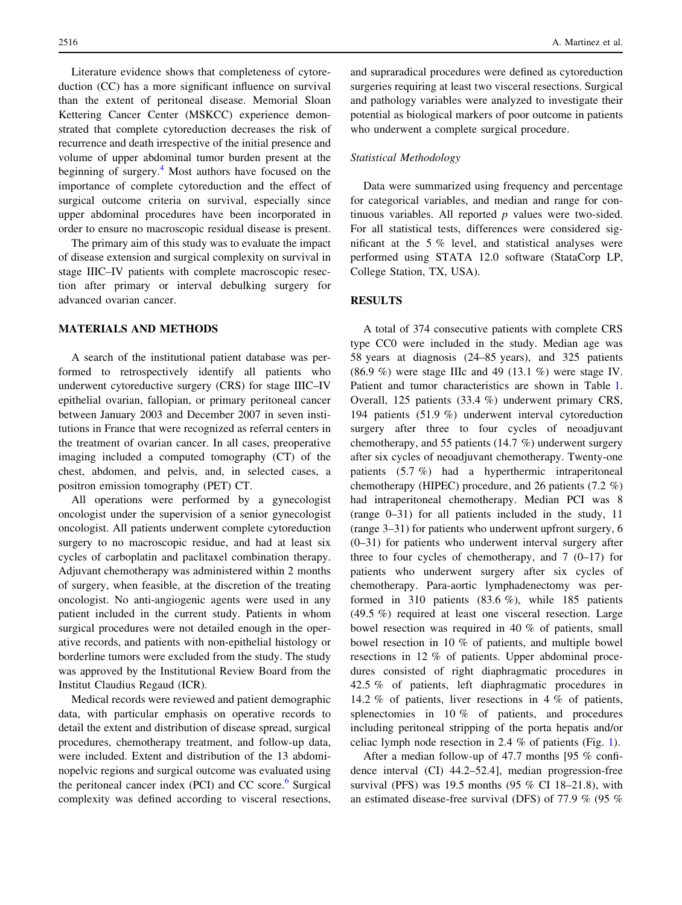Literature evidence shows that completeness of cytoreduction (CC) has a more significant influence on survival than the extent of peritoneal disease. Memorial Sloan Kettering Cancer Center (MSKCC) experience demonstrated that complete cytoreduction decreases the risk of recurrence and death irrespective of the initial presence and volume of upper abdominal tumor burden present at the beginning of surgery.<sup>[4](#page-6-0)</sup> Most authors have focused on the importance of complete cytoreduction and the effect of surgical outcome criteria on survival, especially since upper abdominal procedures have been incorporated in order to ensure no macroscopic residual disease is present.

The primary aim of this study was to evaluate the impact of disease extension and surgical complexity on survival in stage IIIC–IV patients with complete macroscopic resection after primary or interval debulking surgery for advanced ovarian cancer.

#### MATERIALS AND METHODS

A search of the institutional patient database was performed to retrospectively identify all patients who underwent cytoreductive surgery (CRS) for stage IIIC–IV epithelial ovarian, fallopian, or primary peritoneal cancer between January 2003 and December 2007 in seven institutions in France that were recognized as referral centers in the treatment of ovarian cancer. In all cases, preoperative imaging included a computed tomography (CT) of the chest, abdomen, and pelvis, and, in selected cases, a positron emission tomography (PET) CT.

All operations were performed by a gynecologist oncologist under the supervision of a senior gynecologist oncologist. All patients underwent complete cytoreduction surgery to no macroscopic residue, and had at least six cycles of carboplatin and paclitaxel combination therapy. Adjuvant chemotherapy was administered within 2 months of surgery, when feasible, at the discretion of the treating oncologist. No anti-angiogenic agents were used in any patient included in the current study. Patients in whom surgical procedures were not detailed enough in the operative records, and patients with non-epithelial histology or borderline tumors were excluded from the study. The study was approved by the Institutional Review Board from the Institut Claudius Regaud (ICR).

Medical records were reviewed and patient demographic data, with particular emphasis on operative records to detail the extent and distribution of disease spread, surgical procedures, chemotherapy treatment, and follow-up data, were included. Extent and distribution of the 13 abdominopelvic regions and surgical outcome was evaluated using the peritoneal cancer index (PCI) and CC score. $<sup>6</sup>$  $<sup>6</sup>$  $<sup>6</sup>$  Surgical</sup> complexity was defined according to visceral resections,

and supraradical procedures were defined as cytoreduction surgeries requiring at least two visceral resections. Surgical and pathology variables were analyzed to investigate their potential as biological markers of poor outcome in patients who underwent a complete surgical procedure.

## Statistical Methodology

Data were summarized using frequency and percentage for categorical variables, and median and range for continuous variables. All reported  $p$  values were two-sided. For all statistical tests, differences were considered significant at the 5 % level, and statistical analyses were performed using STATA 12.0 software (StataCorp LP, College Station, TX, USA).

#### RESULTS

A total of 374 consecutive patients with complete CRS type CC0 were included in the study. Median age was 58 years at diagnosis (24–85 years), and 325 patients (86.9 %) were stage IIIc and 49 (13.1 %) were stage IV. Patient and tumor characteristics are shown in Table [1.](#page-2-0) Overall, 125 patients (33.4 %) underwent primary CRS, 194 patients (51.9 %) underwent interval cytoreduction surgery after three to four cycles of neoadjuvant chemotherapy, and 55 patients (14.7 %) underwent surgery after six cycles of neoadjuvant chemotherapy. Twenty-one patients (5.7 %) had a hyperthermic intraperitoneal chemotherapy (HIPEC) procedure, and 26 patients (7.2 %) had intraperitoneal chemotherapy. Median PCI was 8 (range 0–31) for all patients included in the study, 11 (range 3–31) for patients who underwent upfront surgery, 6 (0–31) for patients who underwent interval surgery after three to four cycles of chemotherapy, and  $7(0-17)$  for patients who underwent surgery after six cycles of chemotherapy. Para-aortic lymphadenectomy was performed in 310 patients (83.6 %), while 185 patients (49.5 %) required at least one visceral resection. Large bowel resection was required in 40 % of patients, small bowel resection in 10 % of patients, and multiple bowel resections in 12 % of patients. Upper abdominal procedures consisted of right diaphragmatic procedures in 42.5 % of patients, left diaphragmatic procedures in 14.2 % of patients, liver resections in 4 % of patients, splenectomies in 10 % of patients, and procedures including peritoneal stripping of the porta hepatis and/or celiac lymph node resection in 2.4 % of patients (Fig. [1](#page-3-0)).

After a median follow-up of 47.7 months [95 % confidence interval (CI) 44.2–52.4], median progression-free survival (PFS) was 19.5 months (95 % CI 18–21.8), with an estimated disease-free survival (DFS) of 77.9 % (95 %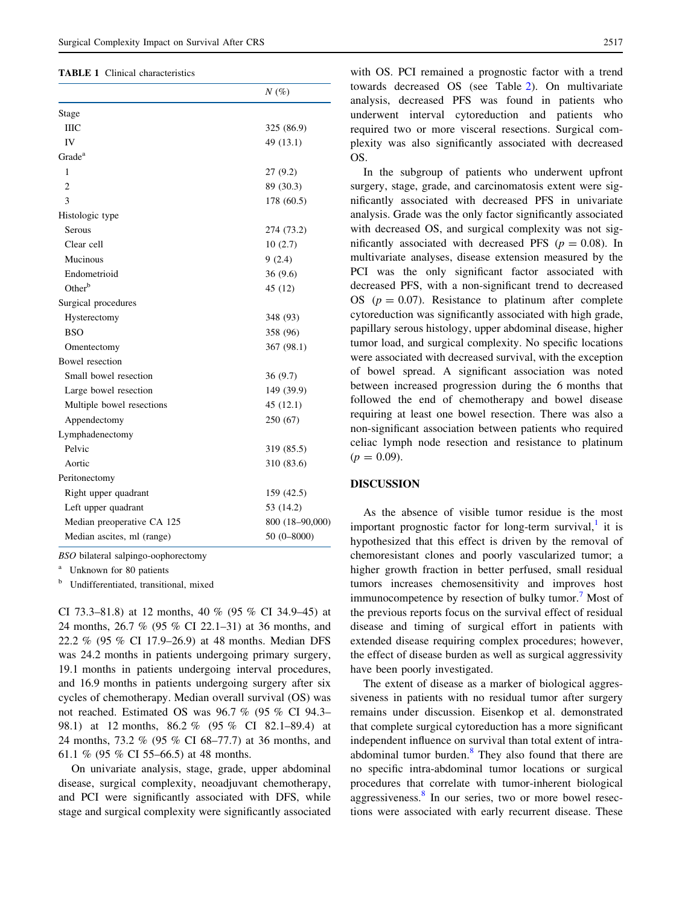#### <span id="page-2-0"></span>TABLE 1 Clinical characteristics

|                            | $N(\%)$         |
|----------------------------|-----------------|
| Stage                      |                 |
| <b>IIIC</b>                | 325 (86.9)      |
| IV                         | 49 (13.1)       |
| Grade <sup>a</sup>         |                 |
| 1                          | 27(9.2)         |
| $\overline{2}$             | 89 (30.3)       |
| 3                          | 178 (60.5)      |
| Histologic type            |                 |
| Serous                     | 274 (73.2)      |
| Clear cell                 | 10(2.7)         |
| Mucinous                   | 9(2.4)          |
| Endometrioid               | 36(9.6)         |
| $Other^b$                  | 45 (12)         |
| Surgical procedures        |                 |
| Hysterectomy               | 348 (93)        |
| <b>BSO</b>                 | 358 (96)        |
| Omentectomy                | 367 (98.1)      |
| Bowel resection            |                 |
| Small bowel resection      | 36(9.7)         |
| Large bowel resection      | 149 (39.9)      |
| Multiple bowel resections  | 45 (12.1)       |
| Appendectomy               | 250 (67)        |
| Lymphadenectomy            |                 |
| Pelvic                     | 319 (85.5)      |
| Aortic                     | 310 (83.6)      |
| Peritonectomy              |                 |
| Right upper quadrant       | 159 (42.5)      |
| Left upper quadrant        | 53 (14.2)       |
| Median preoperative CA 125 | 800 (18-90,000) |
| Median ascites, ml (range) | $50(0-8000)$    |

BSO bilateral salpingo-oophorectomy

<sup>a</sup> Unknown for 80 patients

<sup>b</sup> Undifferentiated, transitional, mixed

CI 73.3–81.8) at 12 months, 40 % (95 % CI 34.9–45) at 24 months, 26.7 % (95 % CI 22.1–31) at 36 months, and 22.2 % (95 % CI 17.9–26.9) at 48 months. Median DFS was 24.2 months in patients undergoing primary surgery, 19.1 months in patients undergoing interval procedures, and 16.9 months in patients undergoing surgery after six cycles of chemotherapy. Median overall survival (OS) was not reached. Estimated OS was 96.7 % (95 % CI 94.3– 98.1) at 12 months, 86.2 % (95 % CI 82.1–89.4) at 24 months, 73.2 % (95 % CI 68–77.7) at 36 months, and 61.1 % (95 % CI 55–66.5) at 48 months.

On univariate analysis, stage, grade, upper abdominal disease, surgical complexity, neoadjuvant chemotherapy, and PCI were significantly associated with DFS, while stage and surgical complexity were significantly associated with OS. PCI remained a prognostic factor with a trend towards decreased OS (see Table [2](#page-4-0)). On multivariate analysis, decreased PFS was found in patients who underwent interval cytoreduction and patients who required two or more visceral resections. Surgical complexity was also significantly associated with decreased OS.

In the subgroup of patients who underwent upfront surgery, stage, grade, and carcinomatosis extent were significantly associated with decreased PFS in univariate analysis. Grade was the only factor significantly associated with decreased OS, and surgical complexity was not significantly associated with decreased PFS ( $p = 0.08$ ). In multivariate analyses, disease extension measured by the PCI was the only significant factor associated with decreased PFS, with a non-significant trend to decreased OS ( $p = 0.07$ ). Resistance to platinum after complete cytoreduction was significantly associated with high grade, papillary serous histology, upper abdominal disease, higher tumor load, and surgical complexity. No specific locations were associated with decreased survival, with the exception of bowel spread. A significant association was noted between increased progression during the 6 months that followed the end of chemotherapy and bowel disease requiring at least one bowel resection. There was also a non-significant association between patients who required celiac lymph node resection and resistance to platinum  $(p = 0.09)$ .

## DISCUSSION

As the absence of visible tumor residue is the most important prognostic factor for long-term survival, $\frac{1}{1}$  $\frac{1}{1}$  $\frac{1}{1}$  it is hypothesized that this effect is driven by the removal of chemoresistant clones and poorly vascularized tumor; a higher growth fraction in better perfused, small residual tumors increases chemosensitivity and improves host immunocompetence by resection of bulky tumor.<sup>[7](#page-6-0)</sup> Most of the previous reports focus on the survival effect of residual disease and timing of surgical effort in patients with extended disease requiring complex procedures; however, the effect of disease burden as well as surgical aggressivity have been poorly investigated.

The extent of disease as a marker of biological aggressiveness in patients with no residual tumor after surgery remains under discussion. Eisenkop et al. demonstrated that complete surgical cytoreduction has a more significant independent influence on survival than total extent of intraabdominal tumor burden. $8$  They also found that there are no specific intra-abdominal tumor locations or surgical procedures that correlate with tumor-inherent biological aggressiveness.<sup>[8](#page-6-0)</sup> In our series, two or more bowel resections were associated with early recurrent disease. These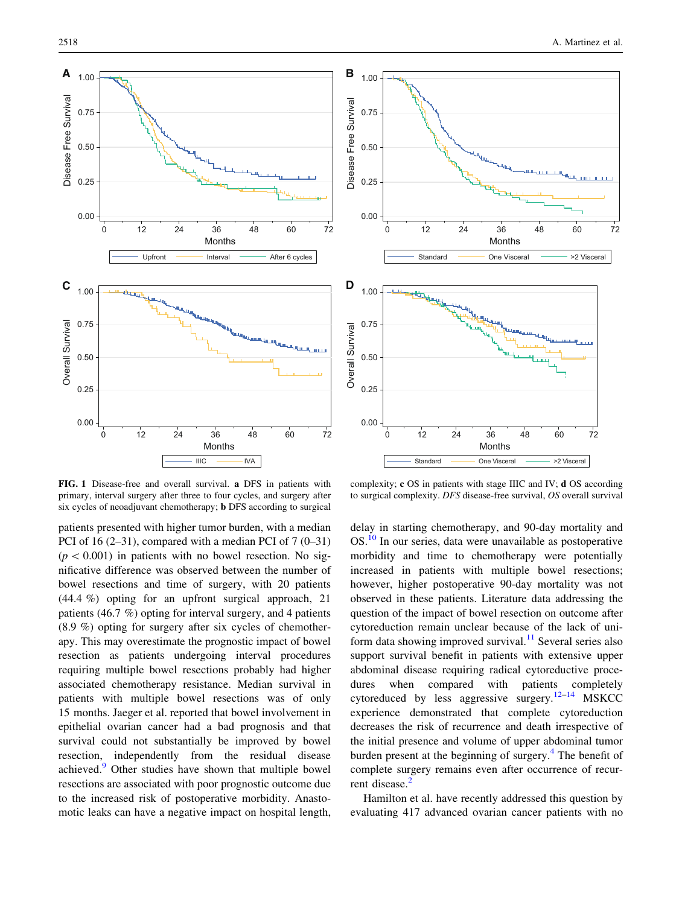<span id="page-3-0"></span>



FIG. 1 Disease-free and overall survival. a DFS in patients with primary, interval surgery after three to four cycles, and surgery after six cycles of neoadjuvant chemotherapy; b DFS according to surgical

Months

patients presented with higher tumor burden, with a median PCI of 16 (2–31), compared with a median PCI of  $7(0-31)$  $(p < 0.001)$  in patients with no bowel resection. No significative difference was observed between the number of bowel resections and time of surgery, with 20 patients (44.4 %) opting for an upfront surgical approach, 21 patients (46.7 %) opting for interval surgery, and 4 patients (8.9 %) opting for surgery after six cycles of chemotherapy. This may overestimate the prognostic impact of bowel resection as patients undergoing interval procedures requiring multiple bowel resections probably had higher associated chemotherapy resistance. Median survival in patients with multiple bowel resections was of only 15 months. Jaeger et al. reported that bowel involvement in epithelial ovarian cancer had a bad prognosis and that survival could not substantially be improved by bowel resection, independently from the residual disease achieved.<sup>[9](#page-6-0)</sup> Other studies have shown that multiple bowel resections are associated with poor prognostic outcome due to the increased risk of postoperative morbidity. Anastomotic leaks can have a negative impact on hospital length,

complexity; c OS in patients with stage IIIC and IV; d OS according to surgical complexity. DFS disease-free survival, OS overall survival

delay in starting chemotherapy, and 90-day mortality and OS.[10](#page-6-0) In our series, data were unavailable as postoperative morbidity and time to chemotherapy were potentially increased in patients with multiple bowel resections; however, higher postoperative 90-day mortality was not observed in these patients. Literature data addressing the question of the impact of bowel resection on outcome after cytoreduction remain unclear because of the lack of uniform data showing improved survival. $^{11}$  $^{11}$  $^{11}$  Several series also support survival benefit in patients with extensive upper abdominal disease requiring radical cytoreductive procedures when compared with patients completely cytoreduced by less aggressive surgery.[12](#page-6-0)–[14](#page-6-0) MSKCC experience demonstrated that complete cytoreduction decreases the risk of recurrence and death irrespective of the initial presence and volume of upper abdominal tumor burden present at the beginning of surgery.<sup>[4](#page-6-0)</sup> The benefit of complete surgery remains even after occurrence of recur-rent disease.<sup>[2](#page-6-0)</sup>

Hamilton et al. have recently addressed this question by evaluating 417 advanced ovarian cancer patients with no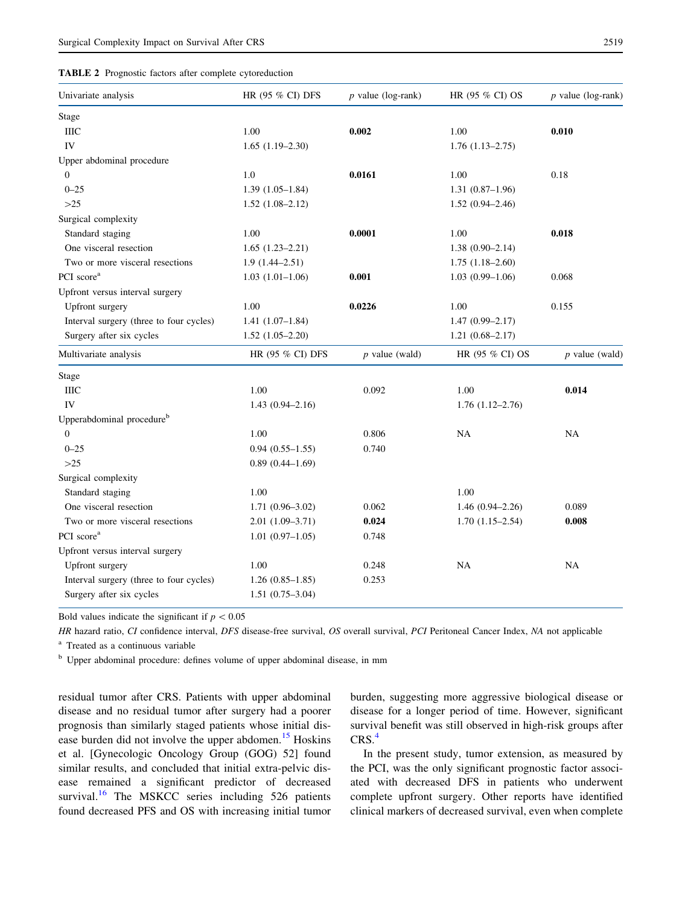<span id="page-4-0"></span>

|  |  |  |  |  |  | <b>TABLE 2</b> Prognostic factors after complete cytoreduction |
|--|--|--|--|--|--|----------------------------------------------------------------|
|--|--|--|--|--|--|----------------------------------------------------------------|

| Univariate analysis                     | HR (95 % CI) DFS    | $p$ value (log-rank) | HR (95 % CI) OS     | $p$ value (log-rank) |
|-----------------------------------------|---------------------|----------------------|---------------------|----------------------|
| Stage                                   |                     |                      |                     |                      |
| <b>IIIC</b>                             | 1.00                | 0.002                | 1.00                | 0.010                |
| IV                                      | $1.65(1.19-2.30)$   |                      | $1.76(1.13-2.75)$   |                      |
| Upper abdominal procedure               |                     |                      |                     |                      |
| $\mathbf{0}$                            | $1.0\,$             | 0.0161               | 1.00                | 0.18                 |
| $0 - 25$                                | $1.39(1.05-1.84)$   |                      | $1.31(0.87-1.96)$   |                      |
| $>25$                                   | $1.52(1.08-2.12)$   |                      | $1.52(0.94 - 2.46)$ |                      |
| Surgical complexity                     |                     |                      |                     |                      |
| Standard staging                        | 1.00                | 0.0001               | 1.00                | 0.018                |
| One visceral resection                  | $1.65(1.23-2.21)$   |                      | $1.38(0.90 - 2.14)$ |                      |
| Two or more visceral resections         | $1.9(1.44 - 2.51)$  |                      | $1.75(1.18-2.60)$   |                      |
| PCI score <sup>a</sup>                  | $1.03(1.01-1.06)$   | 0.001                | $1.03(0.99-1.06)$   | 0.068                |
| Upfront versus interval surgery         |                     |                      |                     |                      |
| Upfront surgery                         | 1.00                | 0.0226               | 1.00                | 0.155                |
| Interval surgery (three to four cycles) | $1.41(1.07-1.84)$   |                      | $1.47(0.99 - 2.17)$ |                      |
| Surgery after six cycles                | $1.52(1.05-2.20)$   |                      | $1.21(0.68 - 2.17)$ |                      |
| Multivariate analysis                   | HR (95 % CI) DFS    | $p$ value (wald)     | HR (95 % CI) OS     | $p$ value (wald)     |
| Stage                                   |                     |                      |                     |                      |
| <b>IIIC</b>                             | 1.00                | 0.092                | 1.00                | 0.014                |
| IV                                      | $1.43(0.94 - 2.16)$ |                      | $1.76(1.12-2.76)$   |                      |
| Upperabdominal procedure <sup>b</sup>   |                     |                      |                     |                      |
| $\mathbf{0}$                            | 1.00                | 0.806                | <b>NA</b>           | <b>NA</b>            |
| $0 - 25$                                | $0.94(0.55-1.55)$   | 0.740                |                     |                      |
| $>25$                                   | $0.89(0.44 - 1.69)$ |                      |                     |                      |
| Surgical complexity                     |                     |                      |                     |                      |
| Standard staging                        | 1.00                |                      | 1.00                |                      |
| One visceral resection                  | $1.71(0.96 - 3.02)$ | 0.062                | $1.46(0.94 - 2.26)$ | 0.089                |
| Two or more visceral resections         | $2.01(1.09-3.71)$   | 0.024                | $1.70(1.15-2.54)$   | 0.008                |
| PCI score <sup>a</sup>                  | $1.01(0.97-1.05)$   | 0.748                |                     |                      |
| Upfront versus interval surgery         |                     |                      |                     |                      |
| Upfront surgery                         | 1.00                | 0.248                | <b>NA</b>           | <b>NA</b>            |
| Interval surgery (three to four cycles) | $1.26(0.85-1.85)$   | 0.253                |                     |                      |
| Surgery after six cycles                | $1.51(0.75-3.04)$   |                      |                     |                      |
|                                         |                     |                      |                     |                      |

Bold values indicate the significant if  $p < 0.05$ 

HR hazard ratio, CI confidence interval, DFS disease-free survival, OS overall survival, PCI Peritoneal Cancer Index, NA not applicable

<sup>a</sup> Treated as a continuous variable

<sup>b</sup> Upper abdominal procedure: defines volume of upper abdominal disease, in mm

residual tumor after CRS. Patients with upper abdominal disease and no residual tumor after surgery had a poorer prognosis than similarly staged patients whose initial dis-ease burden did not involve the upper abdomen.<sup>[15](#page-6-0)</sup> Hoskins et al. [Gynecologic Oncology Group (GOG) 52] found similar results, and concluded that initial extra-pelvic disease remained a significant predictor of decreased survival.<sup>[16](#page-6-0)</sup> The MSKCC series including 526 patients found decreased PFS and OS with increasing initial tumor burden, suggesting more aggressive biological disease or disease for a longer period of time. However, significant survival benefit was still observed in high-risk groups after CRS.<sup>[4](#page-6-0)</sup>

In the present study, tumor extension, as measured by the PCI, was the only significant prognostic factor associated with decreased DFS in patients who underwent complete upfront surgery. Other reports have identified clinical markers of decreased survival, even when complete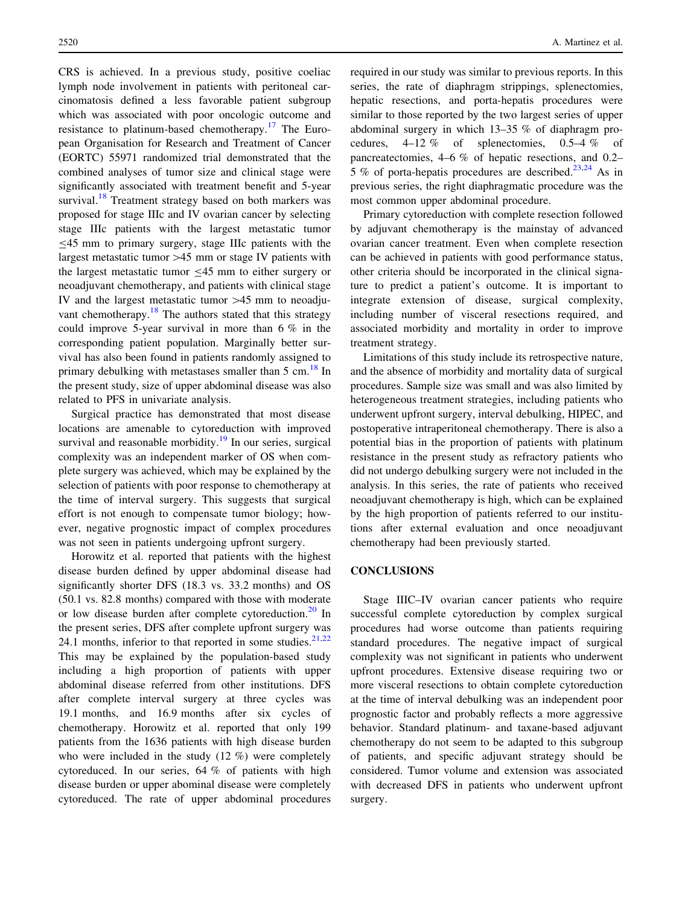CRS is achieved. In a previous study, positive coeliac lymph node involvement in patients with peritoneal carcinomatosis defined a less favorable patient subgroup which was associated with poor oncologic outcome and resistance to platinum-based chemotherapy. $17$  The European Organisation for Research and Treatment of Cancer (EORTC) 55971 randomized trial demonstrated that the combined analyses of tumor size and clinical stage were significantly associated with treatment benefit and 5-year survival. $18$  Treatment strategy based on both markers was proposed for stage IIIc and IV ovarian cancer by selecting stage IIIc patients with the largest metastatic tumor  $\leq$ 45 mm to primary surgery, stage IIIc patients with the largest metastatic tumor  $>45$  mm or stage IV patients with the largest metastatic tumor  $\leq 45$  mm to either surgery or neoadjuvant chemotherapy, and patients with clinical stage IV and the largest metastatic tumor  $>45$  mm to neoadjuvant chemotherapy. $\frac{18}{18}$  $\frac{18}{18}$  $\frac{18}{18}$  The authors stated that this strategy could improve 5-year survival in more than 6 % in the corresponding patient population. Marginally better survival has also been found in patients randomly assigned to primary debulking with metastases smaller than  $5 \text{ cm}^{18}$  $5 \text{ cm}^{18}$  $5 \text{ cm}^{18}$  In the present study, size of upper abdominal disease was also related to PFS in univariate analysis.

Surgical practice has demonstrated that most disease locations are amenable to cytoreduction with improved survival and reasonable morbidity.<sup>[19](#page-6-0)</sup> In our series, surgical complexity was an independent marker of OS when complete surgery was achieved, which may be explained by the selection of patients with poor response to chemotherapy at the time of interval surgery. This suggests that surgical effort is not enough to compensate tumor biology; however, negative prognostic impact of complex procedures was not seen in patients undergoing upfront surgery.

Horowitz et al. reported that patients with the highest disease burden defined by upper abdominal disease had significantly shorter DFS (18.3 vs. 33.2 months) and OS (50.1 vs. 82.8 months) compared with those with moderate or low disease burden after complete cytoreduction.<sup>[20](#page-6-0)</sup> In the present series, DFS after complete upfront surgery was 24.1 months, inferior to that reported in some studies. $21,22$ This may be explained by the population-based study including a high proportion of patients with upper abdominal disease referred from other institutions. DFS after complete interval surgery at three cycles was 19.1 months, and 16.9 months after six cycles of chemotherapy. Horowitz et al. reported that only 199 patients from the 1636 patients with high disease burden who were included in the study (12 %) were completely cytoreduced. In our series, 64 % of patients with high disease burden or upper abominal disease were completely cytoreduced. The rate of upper abdominal procedures required in our study was similar to previous reports. In this series, the rate of diaphragm strippings, splenectomies, hepatic resections, and porta-hepatis procedures were similar to those reported by the two largest series of upper abdominal surgery in which 13–35 % of diaphragm procedures, 4–12 % of splenectomies, 0.5–4 % of pancreatectomies, 4–6 % of hepatic resections, and 0.2– 5 % of porta-hepatis procedures are described.<sup>[23](#page-6-0),[24](#page-6-0)</sup> As in previous series, the right diaphragmatic procedure was the most common upper abdominal procedure.

Primary cytoreduction with complete resection followed by adjuvant chemotherapy is the mainstay of advanced ovarian cancer treatment. Even when complete resection can be achieved in patients with good performance status, other criteria should be incorporated in the clinical signature to predict a patient's outcome. It is important to integrate extension of disease, surgical complexity, including number of visceral resections required, and associated morbidity and mortality in order to improve treatment strategy.

Limitations of this study include its retrospective nature, and the absence of morbidity and mortality data of surgical procedures. Sample size was small and was also limited by heterogeneous treatment strategies, including patients who underwent upfront surgery, interval debulking, HIPEC, and postoperative intraperitoneal chemotherapy. There is also a potential bias in the proportion of patients with platinum resistance in the present study as refractory patients who did not undergo debulking surgery were not included in the analysis. In this series, the rate of patients who received neoadjuvant chemotherapy is high, which can be explained by the high proportion of patients referred to our institutions after external evaluation and once neoadjuvant chemotherapy had been previously started.

#### **CONCLUSIONS**

Stage IIIC–IV ovarian cancer patients who require successful complete cytoreduction by complex surgical procedures had worse outcome than patients requiring standard procedures. The negative impact of surgical complexity was not significant in patients who underwent upfront procedures. Extensive disease requiring two or more visceral resections to obtain complete cytoreduction at the time of interval debulking was an independent poor prognostic factor and probably reflects a more aggressive behavior. Standard platinum- and taxane-based adjuvant chemotherapy do not seem to be adapted to this subgroup of patients, and specific adjuvant strategy should be considered. Tumor volume and extension was associated with decreased DFS in patients who underwent upfront surgery.